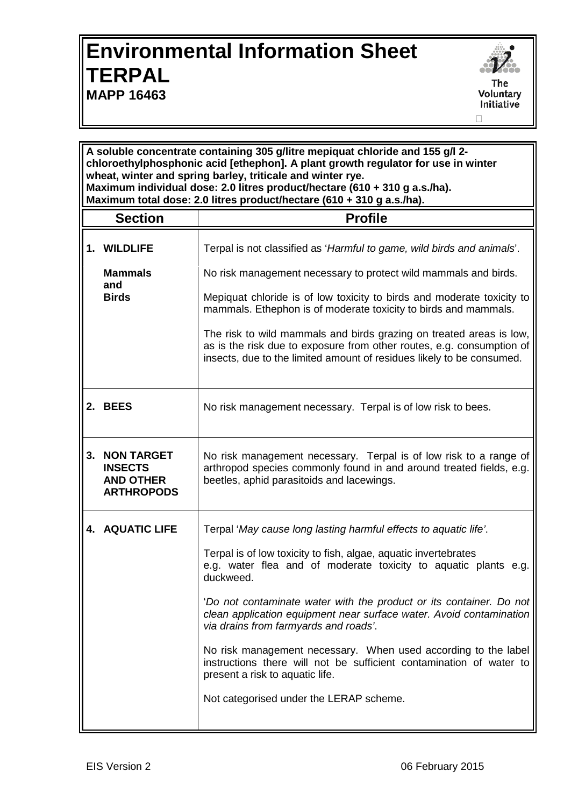## **Environmental Information Sheet TERPAL MAPP 16463**



**A soluble concentrate containing 305 g/litre mepiquat chloride and 155 g/l 2 chloroethylphosphonic acid [ethephon]. A plant growth regulator for use in winter wheat, winter and spring barley, triticale and winter rye. Maximum individual dose: 2.0 litres product/hectare (610 + 310 g a.s./ha). Maximum total dose: 2.0 litres product/hectare (610 + 310 g a.s./ha). Section Profile 1. WILDLIFE** Terpal is not classified as '*Harmful to game, wild birds and animals*'. **Mammals and Birds** No risk management necessary to protect wild mammals and birds. Mepiquat chloride is of low toxicity to birds and moderate toxicity to mammals. Ethephon is of moderate toxicity to birds and mammals. The risk to wild mammals and birds grazing on treated areas is low, as is the risk due to exposure from other routes, e.g. consumption of insects, due to the limited amount of residues likely to be consumed. **2. BEES** No risk management necessary. Terpal is of low risk to bees. **3. NON TARGET INSECTS AND OTHER ARTHROPODS** No risk management necessary. Terpal is of low risk to a range of arthropod species commonly found in and around treated fields, e.g. beetles, aphid parasitoids and lacewings. **4. AQUATIC LIFE** Terpal '*May cause long lasting harmful effects to aquatic life'*. Terpal is of low toxicity to fish, algae, aquatic invertebrates e.g. water flea and of moderate toxicity to aquatic plants e.g. duckweed. '*Do not contaminate water with the product or its container. Do not clean application equipment near surface water. Avoid contamination via drains from farmyards and roads'*. No risk management necessary. When used according to the label instructions there will not be sufficient contamination of water to present a risk to aquatic life. Not categorised under the LERAP scheme.